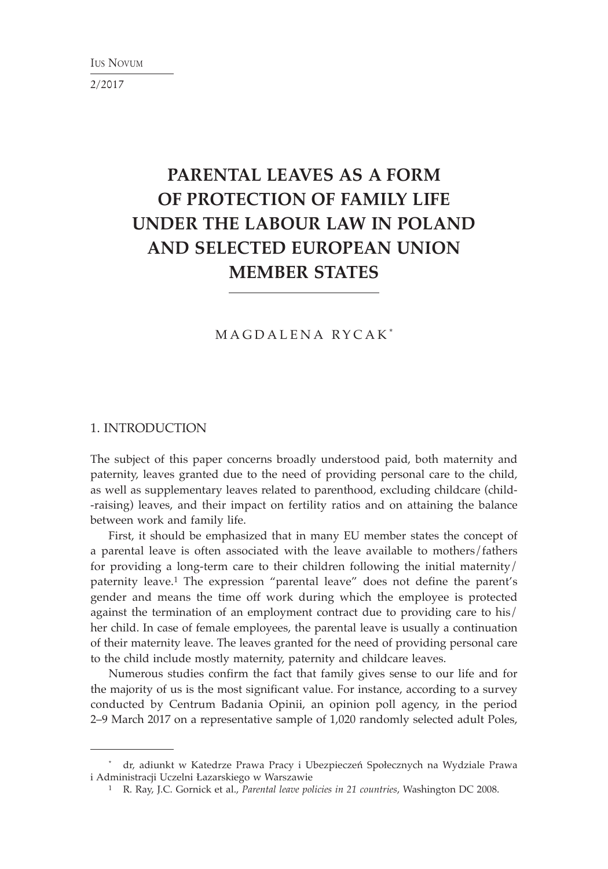2/2017

# **PARENTAL LEAVES AS A FORM OF PROTECTION OF FAMILY LIFE UNDER THE LABOUR LAW IN POLAND AND SELECTED EUROPEAN UNION MEMBER STATES**

## MAGDALENA RYCAK \*

## 1. INTRODUCTION

The subject of this paper concerns broadly understood paid, both maternity and paternity, leaves granted due to the need of providing personal care to the child, as well as supplementary leaves related to parenthood, excluding childcare (child- -raising) leaves, and their impact on fertility ratios and on attaining the balance between work and family life.

First, it should be emphasized that in many EU member states the concept of a parental leave is often associated with the leave available to mothers/fathers for providing a long-term care to their children following the initial maternity/ paternity leave.<sup>1</sup> The expression "parental leave" does not define the parent's gender and means the time off work during which the employee is protected against the termination of an employment contract due to providing care to his/ her child. In case of female employees, the parental leave is usually a continuation of their maternity leave. The leaves granted for the need of providing personal care to the child include mostly maternity, paternity and childcare leaves.

Numerous studies confirm the fact that family gives sense to our life and for the majority of us is the most significant value. For instance, according to a survey conducted by Centrum Badania Opinii, an opinion poll agency, in the period 2–9 March 2017 on a representative sample of 1,020 randomly selected adult Poles,

<sup>\*</sup> dr, adiunkt w Katedrze Prawa Pracy i Ubezpieczeń Społecznych na Wydziale Prawa i Administracji Uczelni Łazarskiego w Warszawie

<sup>1</sup> R. Ray, J.C. Gornick et al., *Parental leave policies in 21 countries*, Washington DC 2008.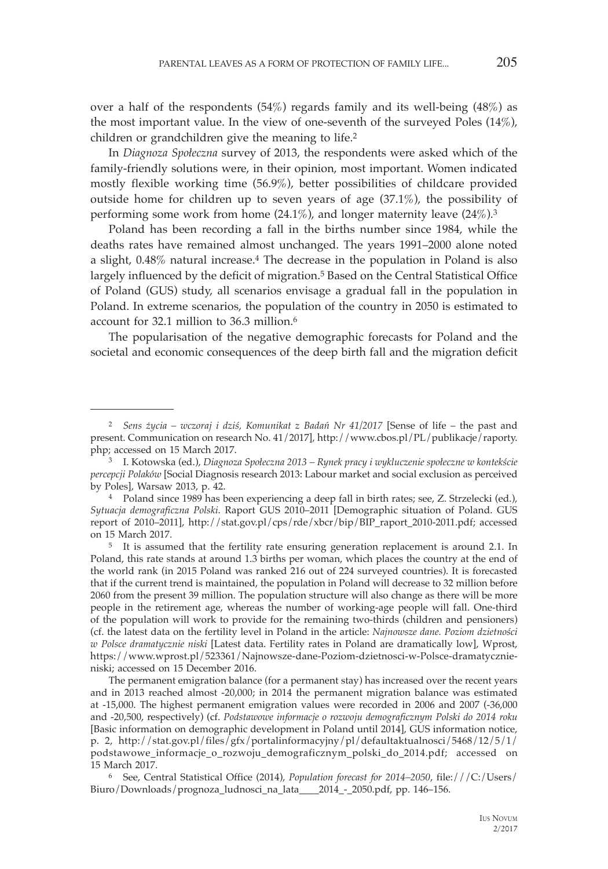over a half of the respondents  $(54%)$  regards family and its well-being  $(48%)$  as the most important value. In the view of one-seventh of the surveyed Poles (14%), children or grandchildren give the meaning to life.2

In *Diagnoza Społeczna* survey of 2013, the respondents were asked which of the family-friendly solutions were, in their opinion, most important. Women indicated mostly flexible working time (56.9%), better possibilities of childcare provided outside home for children up to seven years of age (37.1%), the possibility of performing some work from home  $(24.1\%)$ , and longer maternity leave  $(24\%)$ .<sup>3</sup>

Poland has been recording a fall in the births number since 1984, while the deaths rates have remained almost unchanged. The years 1991–2000 alone noted a slight, 0.48% natural increase.4 The decrease in the population in Poland is also largely influenced by the deficit of migration.<sup>5</sup> Based on the Central Statistical Office of Poland (GUS) study, all scenarios envisage a gradual fall in the population in Poland. In extreme scenarios, the population of the country in 2050 is estimated to account for 32.1 million to 36.3 million.6

The popularisation of the negative demographic forecasts for Poland and the societal and economic consequences of the deep birth fall and the migration deficit

<sup>2</sup> *Sens życia – wczoraj i dziś, Komunikat z Badań Nr 41/2017* [Sense of life – the past and present. Communication on research No. 41/2017], http://www.cbos.pl/PL/publikacje/raporty. php; accessed on 15 March 2017. 3 I. Kotowska (ed.), *Diagnoza Społeczna 2013 – Rynek pracy i wykluczenie społeczne w kontekście* 

*percepcji Polaków* [Social Diagnosis research 2013: Labour market and social exclusion as perceived by Poles], Warsaw 2013, p. 42.

<sup>4</sup> Poland since 1989 has been experiencing a deep fall in birth rates; see, Z. Strzelecki (ed.), *Sytuacja demograficzna Polski*. Raport GUS 2010–2011 [Demographic situation of Poland. GUS report of 2010–2011], http://stat.gov.pl/cps/rde/xbcr/bip/BIP\_raport\_2010-2011.pdf; accessed

<sup>&</sup>lt;sup>5</sup> It is assumed that the fertility rate ensuring generation replacement is around 2.1. In Poland, this rate stands at around 1.3 births per woman, which places the country at the end of the world rank (in 2015 Poland was ranked 216 out of 224 surveyed countries). It is forecasted that if the current trend is maintained, the population in Poland will decrease to 32 million before 2060 from the present 39 million. The population structure will also change as there will be more people in the retirement age, whereas the number of working-age people will fall. One-third of the population will work to provide for the remaining two-thirds (children and pensioners) (cf. the latest data on the fertility level in Poland in the article: *Najnowsze dane. Poziom dzietności w Polsce dramatycznie niski* [Latest data. Fertility rates in Poland are dramatically low], Wprost, https://www.wprost.pl/523361/Najnowsze-dane-Poziom-dzietnosci-w-Polsce-dramatycznieniski; accessed on 15 December 2016.

The permanent emigration balance (for a permanent stay) has increased over the recent years and in 2013 reached almost -20,000; in 2014 the permanent migration balance was estimated at -15,000. The highest permanent emigration values were recorded in 2006 and 2007 (-36,000 and -20,500, respectively) (cf. *Podstawowe informacje o rozwoju demograficznym Polski do 2014 roku* [Basic information on demographic development in Poland until 2014], GUS information notice, p. 2, http://stat.gov.pl/files/gfx/portalinformacyjny/pl/defaultaktualnosci/5468/12/5/1/ podstawowe\_informacje\_o\_rozwoju\_demograficznym\_polski\_do\_2014.pdf; accessed on

<sup>15</sup> March 2017. 6 See, Central Statistical Office (2014), *Population forecast for 2014–2050*, file:///C:/Users/ Biuro/Downloads/prognoza\_ludnosci\_na\_lata\_\_\_\_2014\_-\_2050.pdf, pp. 146–156.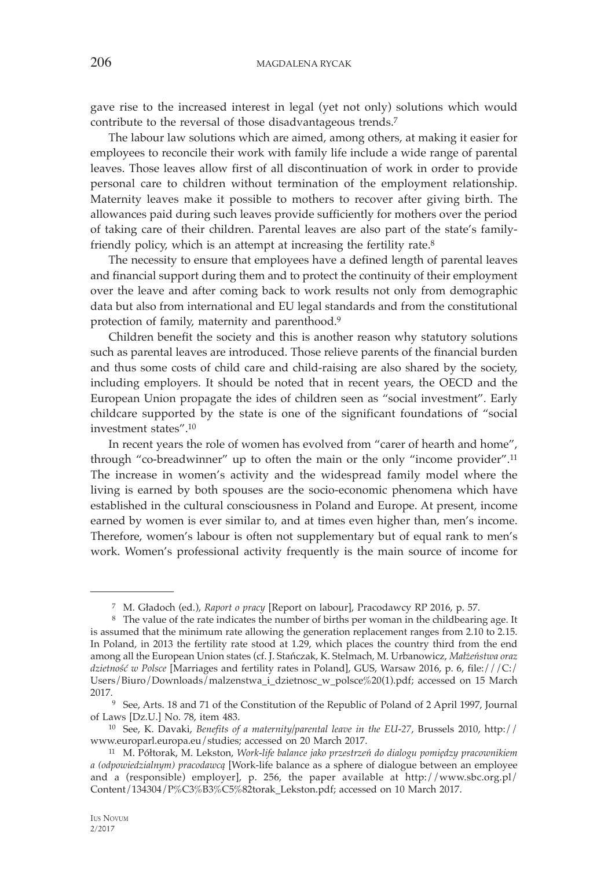gave rise to the increased interest in legal (yet not only) solutions which would contribute to the reversal of those disadvantageous trends.7

The labour law solutions which are aimed, among others, at making it easier for employees to reconcile their work with family life include a wide range of parental leaves. Those leaves allow first of all discontinuation of work in order to provide personal care to children without termination of the employment relationship. Maternity leaves make it possible to mothers to recover after giving birth. The allowances paid during such leaves provide sufficiently for mothers over the period of taking care of their children. Parental leaves are also part of the state's familyfriendly policy, which is an attempt at increasing the fertility rate.<sup>8</sup>

The necessity to ensure that employees have a defined length of parental leaves and financial support during them and to protect the continuity of their employment over the leave and after coming back to work results not only from demographic data but also from international and EU legal standards and from the constitutional protection of family, maternity and parenthood.9

Children benefit the society and this is another reason why statutory solutions such as parental leaves are introduced. Those relieve parents of the financial burden and thus some costs of child care and child-raising are also shared by the society, including employers. It should be noted that in recent years, the OECD and the European Union propagate the ides of children seen as "social investment". Early childcare supported by the state is one of the significant foundations of "social investment states".10

In recent years the role of women has evolved from "carer of hearth and home", through "co-breadwinner" up to often the main or the only "income provider".11 The increase in women's activity and the widespread family model where the living is earned by both spouses are the socio-economic phenomena which have established in the cultural consciousness in Poland and Europe. At present, income earned by women is ever similar to, and at times even higher than, men's income. Therefore, women's labour is often not supplementary but of equal rank to men's work. Women's professional activity frequently is the main source of income for

<sup>&</sup>lt;sup>7</sup> M. Gładoch (ed.), *Raport o pracy* [Report on labour], Pracodawcy RP 2016, p. 57. 8 The value of the rate indicates the number of births per woman in the childbearing age. It is assumed that the minimum rate allowing the generation replacement ranges from 2.10 to 2.15. In Poland, in 2013 the fertility rate stood at 1.29, which places the country third from the end among all the European Union states (cf. J. Stańczak, K. Stelmach, M. Urbanowicz, *Małżeństwa oraz dzietność w Polsce* [Marriages and fertility rates in Poland], GUS, Warsaw 2016, p. 6, file:///C:/ Users/Biuro/Downloads/malzenstwa\_i\_dzietnosc\_w\_polsce%20(1).pdf; accessed on 15 March

<sup>2017.&</sup>lt;br><sup>9</sup> See, Arts. 18 and 71 of the Constitution of the Republic of Poland of 2 April 1997, Journal of Laws [Dz.U.] No. 78, item 483.

<sup>&</sup>lt;sup>10</sup> See, K. Davaki, *Benefits of a maternity/parental leave in the EU-27*, Brussels 2010, http:// www.europarl.europa.eu/studies; accessed on 20 March 2017. 11 M. Półtorak, M. Lekston, *Work-life balance jako przestrzeń do dialogu pomiędzy pracownikiem* 

*a (odpowiedzialnym) pracodawcą* [Work-life balance as a sphere of dialogue between an employee and a (responsible) employer], p. 256, the paper available at http://www.sbc.org.pl/ Content/134304/P%C3%B3%C5%82torak\_Lekston.pdf; accessed on 10 March 2017.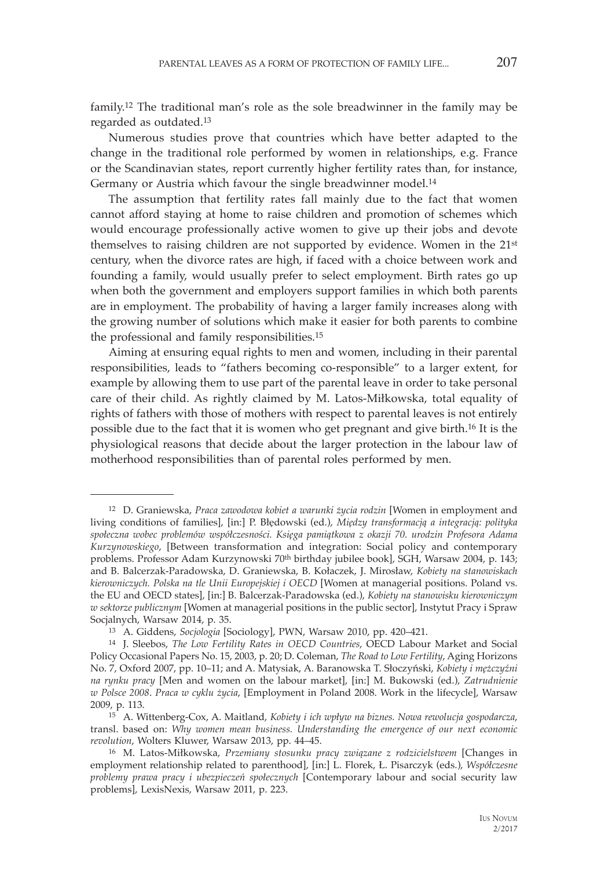family.12 The traditional man's role as the sole breadwinner in the family may be regarded as outdated.13

Numerous studies prove that countries which have better adapted to the change in the traditional role performed by women in relationships, e.g. France or the Scandinavian states, report currently higher fertility rates than, for instance, Germany or Austria which favour the single breadwinner model.14

The assumption that fertility rates fall mainly due to the fact that women cannot afford staying at home to raise children and promotion of schemes which would encourage professionally active women to give up their jobs and devote themselves to raising children are not supported by evidence. Women in the 21st century, when the divorce rates are high, if faced with a choice between work and founding a family, would usually prefer to select employment. Birth rates go up when both the government and employers support families in which both parents are in employment. The probability of having a larger family increases along with the growing number of solutions which make it easier for both parents to combine the professional and family responsibilities.15

Aiming at ensuring equal rights to men and women, including in their parental responsibilities, leads to "fathers becoming co-responsible" to a larger extent, for example by allowing them to use part of the parental leave in order to take personal care of their child. As rightly claimed by M. Latos-Miłkowska, total equality of rights of fathers with those of mothers with respect to parental leaves is not entirely possible due to the fact that it is women who get pregnant and give birth.16 It is the physiological reasons that decide about the larger protection in the labour law of motherhood responsibilities than of parental roles performed by men.

<sup>12</sup> D. Graniewska, *Praca zawodowa kobiet a warunki życia rodzin* [Women in employment and living conditions of families], [in:] P. Błędowski (ed.), *Między transformacją a integracją: polityka społeczna wobec problemów współczesności. Księga pamiątkowa z okazji 70. urodzin Profesora Adama Kurzynowskiego*, [Between transformation and integration: Social policy and contemporary problems. Professor Adam Kurzynowski 70th birthday jubilee book], SGH, Warsaw 2004, p. 143; and B. Balcerzak-Paradowska, D. Graniewska, B. Kołaczek, J. Mirosław, *Kobiety na stanowiskach kierowniczych. Polska na tle Unii Europejskiej i OECD* [Women at managerial positions. Poland vs. the EU and OECD states], [in:] B. Balcerzak-Paradowska (ed.), *Kobiety na stanowisku kierowniczym w sektorze publicznym* [Women at managerial positions in the public sector], Instytut Pracy i Spraw Socjalnych, Warsaw 2014, p. 35. 13 A. Giddens, *Socjologia* [Sociology], PWN, Warsaw 2010, pp. 420–421. 14 J. Sleebos, *The Low Fertility Rates in OECD Countries*, OECD Labour Market and Social

Policy Occasional Papers No. 15, 2003, p. 20; D. Coleman, *The Road to Low Fertility*, Aging Horizons No. 7, Oxford 2007, pp. 10–11; and A. Matysiak, A. Baranowska T. Słoczyński, *Kobiety i mężczyźni na rynku pracy* [Men and women on the labour market], [in:] M. Bukowski (ed.), *Zatrudnienie w Polsce 2008*. *Praca w cyklu życia*, [Employment in Poland 2008. Work in the lifecycle], Warsaw 2009, p. 113.

<sup>15</sup> A. Wittenberg-Cox, A. Maitland, *Kobiety i ich wpływ na biznes. Nowa rewolucja gospodarcza*, transl. based on: *Why women mean business. Understanding the emergence of our next economic revolution*, Wolters Kluwer, Warsaw 2013, pp. 44–45. 16 M. Latos-Miłkowska, *Przemiany stosunku pracy związane z rodzicielstwem* [Changes in

employment relationship related to parenthood], [in:] L. Florek, Ł. Pisarczyk (eds.), *Współczesne problemy prawa pracy i ubezpieczeń społecznych* [Contemporary labour and social security law problems], LexisNexis, Warsaw 2011, p. 223.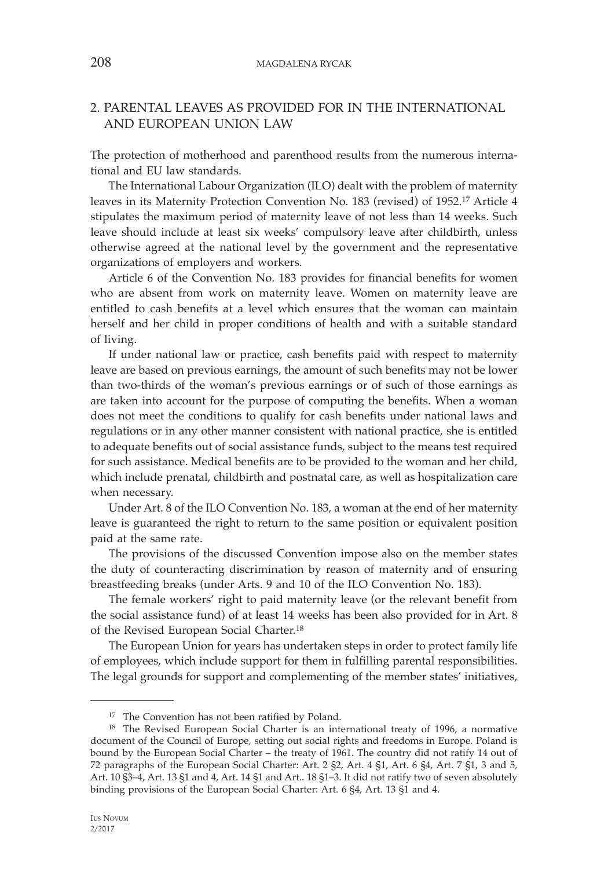# 2. PARENTAL LEAVES AS PROVIDED FOR IN THE INTERNATIONAL AND EUROPEAN UNION LAW

The protection of motherhood and parenthood results from the numerous international and EU law standards.

The International Labour Organization (ILO) dealt with the problem of maternity leaves in its Maternity Protection Convention No. 183 (revised) of 1952.17 Article 4 stipulates the maximum period of maternity leave of not less than 14 weeks. Such leave should include at least six weeks' compulsory leave after childbirth, unless otherwise agreed at the national level by the government and the representative organizations of employers and workers.

Article 6 of the Convention No. 183 provides for financial benefits for women who are absent from work on maternity leave. Women on maternity leave are entitled to cash benefits at a level which ensures that the woman can maintain herself and her child in proper conditions of health and with a suitable standard of living.

If under national law or practice, cash benefits paid with respect to maternity leave are based on previous earnings, the amount of such benefits may not be lower than two-thirds of the woman's previous earnings or of such of those earnings as are taken into account for the purpose of computing the benefits. When a woman does not meet the conditions to qualify for cash benefits under national laws and regulations or in any other manner consistent with national practice, she is entitled to adequate benefits out of social assistance funds, subject to the means test required for such assistance. Medical benefits are to be provided to the woman and her child, which include prenatal, childbirth and postnatal care, as well as hospitalization care when necessary.

Under Art. 8 of the ILO Convention No. 183, a woman at the end of her maternity leave is guaranteed the right to return to the same position or equivalent position paid at the same rate.

The provisions of the discussed Convention impose also on the member states the duty of counteracting discrimination by reason of maternity and of ensuring breastfeeding breaks (under Arts. 9 and 10 of the ILO Convention No. 183).

The female workers' right to paid maternity leave (or the relevant benefit from the social assistance fund) of at least 14 weeks has been also provided for in Art. 8 of the Revised European Social Charter.18

The European Union for years has undertaken steps in order to protect family life of employees, which include support for them in fulfilling parental responsibilities. The legal grounds for support and complementing of the member states' initiatives,

<sup>17</sup> The Convention has not been ratified by Poland.

<sup>18</sup> The Revised European Social Charter is an international treaty of 1996, a normative document of the Council of Europe, setting out social rights and freedoms in Europe. Poland is bound by the European Social Charter – the treaty of 1961. The country did not ratify 14 out of 72 paragraphs of the European Social Charter: Art. 2 §2, Art. 4 §1, Art. 6 §4, Art. 7 §1, 3 and 5, Art. 10 §3–4, Art. 13 §1 and 4, Art. 14 §1 and Art.. 18 §1–3. It did not ratify two of seven absolutely binding provisions of the European Social Charter: Art. 6 §4, Art. 13 §1 and 4.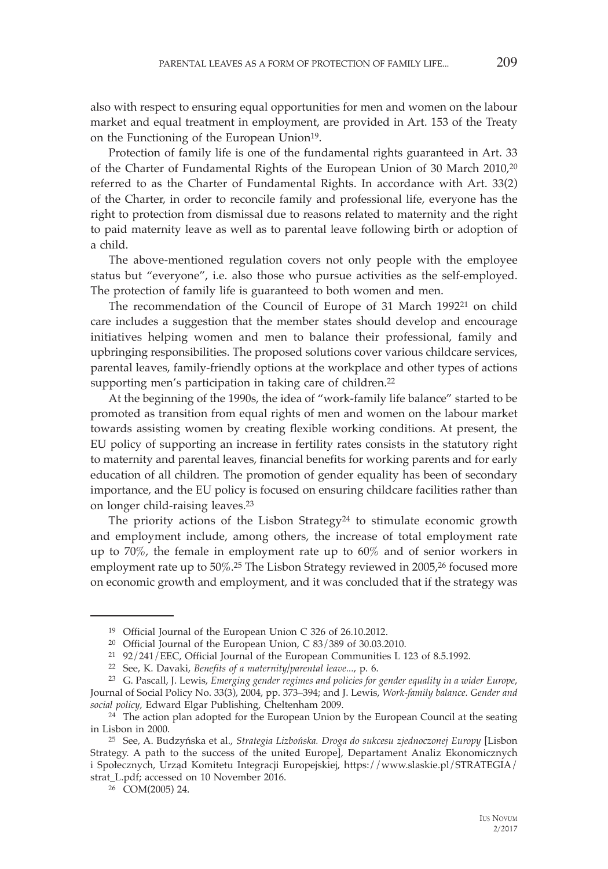also with respect to ensuring equal opportunities for men and women on the labour market and equal treatment in employment, are provided in Art. 153 of the Treaty on the Functioning of the European Union<sup>19</sup>.

Protection of family life is one of the fundamental rights guaranteed in Art. 33 of the Charter of Fundamental Rights of the European Union of 30 March 2010,20 referred to as the Charter of Fundamental Rights. In accordance with Art. 33(2) of the Charter, in order to reconcile family and professional life, everyone has the right to protection from dismissal due to reasons related to maternity and the right to paid maternity leave as well as to parental leave following birth or adoption of a child.

The above-mentioned regulation covers not only people with the employee status but "everyone", i.e. also those who pursue activities as the self-employed. The protection of family life is guaranteed to both women and men.

The recommendation of the Council of Europe of 31 March 1992<sup>21</sup> on child care includes a suggestion that the member states should develop and encourage initiatives helping women and men to balance their professional, family and upbringing responsibilities. The proposed solutions cover various childcare services, parental leaves, family-friendly options at the workplace and other types of actions supporting men's participation in taking care of children.<sup>22</sup>

At the beginning of the 1990s, the idea of "work-family life balance" started to be promoted as transition from equal rights of men and women on the labour market towards assisting women by creating flexible working conditions. At present, the EU policy of supporting an increase in fertility rates consists in the statutory right to maternity and parental leaves, financial benefits for working parents and for early education of all children. The promotion of gender equality has been of secondary importance, and the EU policy is focused on ensuring childcare facilities rather than on longer child-raising leaves.23

The priority actions of the Lisbon Strategy<sup>24</sup> to stimulate economic growth and employment include, among others, the increase of total employment rate up to 70%, the female in employment rate up to 60% and of senior workers in employment rate up to 50%.25 The Lisbon Strategy reviewed in 2005,26 focused more on economic growth and employment, and it was concluded that if the strategy was

<sup>19</sup> Official Journal of the European Union C 326 of 26.10.2012.

<sup>20</sup> Official Journal of the European Union, C 83/389 of 30.03.2010.

<sup>21 92/241/</sup>EEC, Official Journal of the European Communities L 123 of 8.5.1992.

<sup>22</sup> See, K. Davaki, *Benefits of a maternity/parental leave...*, p. 6. 23 G. Pascall, J. Lewis, *Emerging gender regimes and policies for gender equality in a wider Europe*, Journal of Social Policy No. 33(3), 2004, pp. 373–394; and J. Lewis, *Work-family balance. Gender and social policy*, Edward Elgar Publishing, Cheltenham 2009. 24 The action plan adopted for the European Union by the European Council at the seating

in Lisbon in 2000.

<sup>25</sup> See, A. Budzyńska et al., *Strategia Lizbońska. Droga do sukcesu zjednoczonej Europy* [Lisbon Strategy. A path to the success of the united Europe], Departament Analiz Ekonomicznych i Społecznych, Urząd Komitetu Integracji Europejskiej, https://www.slaskie.pl/STRATEGIA/ strat\_L.pdf; accessed on 10 November 2016. 26 COM(2005) 24.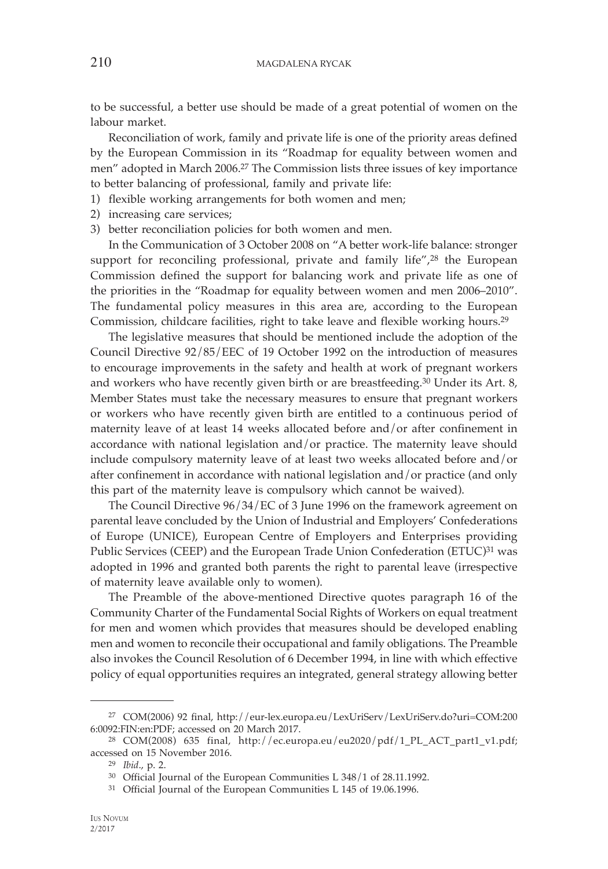to be successful, a better use should be made of a great potential of women on the labour market.

Reconciliation of work, family and private life is one of the priority areas defined by the European Commission in its "Roadmap for equality between women and men" adopted in March 2006.27 The Commission lists three issues of key importance to better balancing of professional, family and private life:

- 1) flexible working arrangements for both women and men;
- 2) increasing care services;
- 3) better reconciliation policies for both women and men.

In the Communication of 3 October 2008 on "A better work-life balance: stronger support for reconciling professional, private and family life",<sup>28</sup> the European Commission defined the support for balancing work and private life as one of the priorities in the "Roadmap for equality between women and men 2006–2010". The fundamental policy measures in this area are, according to the European Commission, childcare facilities, right to take leave and flexible working hours.29

The legislative measures that should be mentioned include the adoption of the Council Directive 92/85/EEC of 19 October 1992 on the introduction of measures to encourage improvements in the safety and health at work of pregnant workers and workers who have recently given birth or are breastfeeding.30 Under its Art. 8, Member States must take the necessary measures to ensure that pregnant workers or workers who have recently given birth are entitled to a continuous period of maternity leave of at least 14 weeks allocated before and/or after confinement in accordance with national legislation and/or practice. The maternity leave should include compulsory maternity leave of at least two weeks allocated before and/or after confinement in accordance with national legislation and/or practice (and only this part of the maternity leave is compulsory which cannot be waived).

The Council Directive 96/34/EC of 3 June 1996 on the framework agreement on parental leave concluded by the Union of Industrial and Employers' Confederations of Europe (UNICE), European Centre of Employers and Enterprises providing Public Services (CEEP) and the European Trade Union Confederation (ETUC)<sup>31</sup> was adopted in 1996 and granted both parents the right to parental leave (irrespective of maternity leave available only to women).

The Preamble of the above-mentioned Directive quotes paragraph 16 of the Community Charter of the Fundamental Social Rights of Workers on equal treatment for men and women which provides that measures should be developed enabling men and women to reconcile their occupational and family obligations. The Preamble also invokes the Council Resolution of 6 December 1994, in line with which effective policy of equal opportunities requires an integrated, general strategy allowing better

<sup>27</sup> COM(2006) 92 final, http://eur-lex.europa.eu/LexUriServ/LexUriServ.do?uri=COM:200 6:0092:FIN:en:PDF; accessed on 20 March 2017.

<sup>28</sup> COM(2008) 635 final, http://ec.europa.eu/eu2020/pdf/1\_PL\_ACT\_part1\_v1.pdf; accessed on 15 November 2016.<br><sup>29</sup> *Ibid.*, p. 2.<br><sup>30</sup> Official Journal of the European Communities L 348/1 of 28.11.1992.

<sup>31</sup> Official Journal of the European Communities L 145 of 19.06.1996.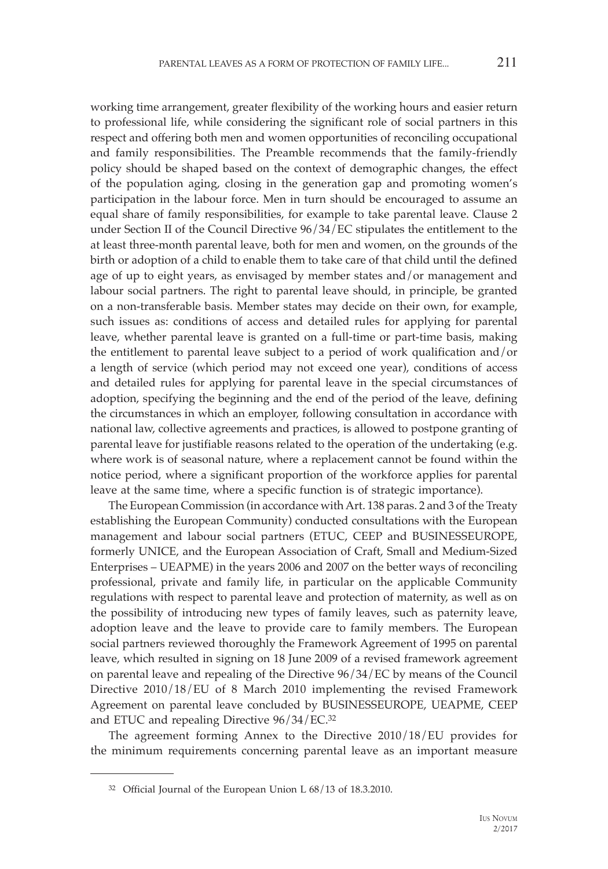working time arrangement, greater flexibility of the working hours and easier return to professional life, while considering the significant role of social partners in this respect and offering both men and women opportunities of reconciling occupational and family responsibilities. The Preamble recommends that the family-friendly policy should be shaped based on the context of demographic changes, the effect of the population aging, closing in the generation gap and promoting women's participation in the labour force. Men in turn should be encouraged to assume an equal share of family responsibilities, for example to take parental leave. Clause 2 under Section II of the Council Directive 96/34/EC stipulates the entitlement to the at least three-month parental leave, both for men and women, on the grounds of the birth or adoption of a child to enable them to take care of that child until the defined age of up to eight years, as envisaged by member states and/or management and labour social partners. The right to parental leave should, in principle, be granted on a non-transferable basis. Member states may decide on their own, for example, such issues as: conditions of access and detailed rules for applying for parental leave, whether parental leave is granted on a full-time or part-time basis, making the entitlement to parental leave subject to a period of work qualification and/or a length of service (which period may not exceed one year), conditions of access and detailed rules for applying for parental leave in the special circumstances of adoption, specifying the beginning and the end of the period of the leave, defining the circumstances in which an employer, following consultation in accordance with national law, collective agreements and practices, is allowed to postpone granting of parental leave for justifiable reasons related to the operation of the undertaking (e.g. where work is of seasonal nature, where a replacement cannot be found within the notice period, where a significant proportion of the workforce applies for parental leave at the same time, where a specific function is of strategic importance).

The European Commission (in accordance with Art. 138 paras. 2 and 3 of the Treaty establishing the European Community) conducted consultations with the European management and labour social partners (ETUC, CEEP and BUSINESSEUROPE, formerly UNICE, and the European Association of Craft, Small and Medium-Sized Enterprises – UEAPME) in the years 2006 and 2007 on the better ways of reconciling professional, private and family life, in particular on the applicable Community regulations with respect to parental leave and protection of maternity, as well as on the possibility of introducing new types of family leaves, such as paternity leave, adoption leave and the leave to provide care to family members. The European social partners reviewed thoroughly the Framework Agreement of 1995 on parental leave, which resulted in signing on 18 June 2009 of a revised framework agreement on parental leave and repealing of the Directive 96/34/EC by means of the Council Directive 2010/18/EU of 8 March 2010 implementing the revised Framework Agreement on parental leave concluded by BUSINESSEUROPE, UEAPME, CEEP and ETUC and repealing Directive 96/34/EC.32

The agreement forming Annex to the Directive 2010/18/EU provides for the minimum requirements concerning parental leave as an important measure

<sup>32</sup> Official Journal of the European Union L 68/13 of 18.3.2010.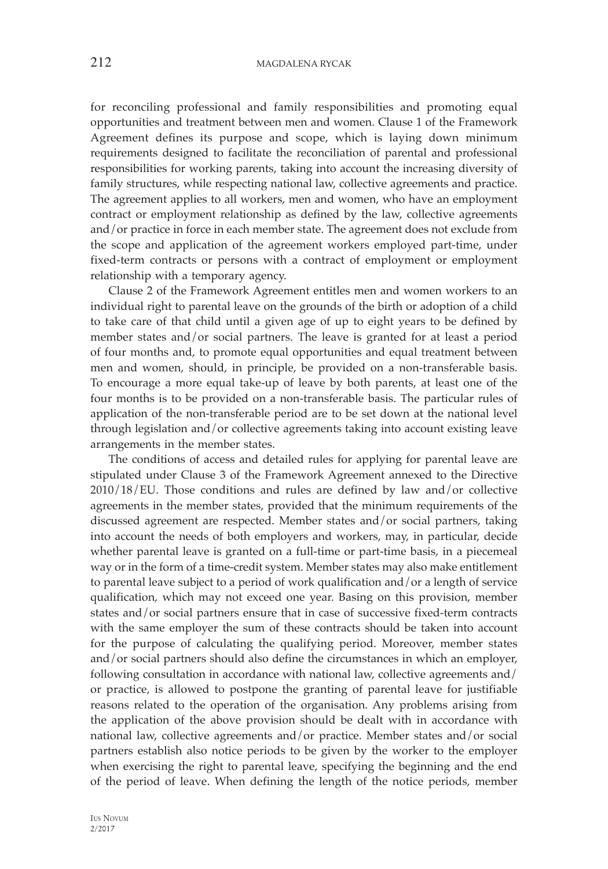for reconciling professional and family responsibilities and promoting equal opportunities and treatment between men and women. Clause 1 of the Framework Agreement defines its purpose and scope, which is laying down minimum requirements designed to facilitate the reconciliation of parental and professional responsibilities for working parents, taking into account the increasing diversity of family structures, while respecting national law, collective agreements and practice. The agreement applies to all workers, men and women, who have an employment contract or employment relationship as defined by the law, collective agreements and/or practice in force in each member state. The agreement does not exclude from the scope and application of the agreement workers employed part-time, under fixed-term contracts or persons with a contract of employment or employment relationship with a temporary agency.

Clause 2 of the Framework Agreement entitles men and women workers to an individual right to parental leave on the grounds of the birth or adoption of a child to take care of that child until a given age of up to eight years to be defined by member states and/or social partners. The leave is granted for at least a period of four months and, to promote equal opportunities and equal treatment between men and women, should, in principle, be provided on a non-transferable basis. To encourage a more equal take-up of leave by both parents, at least one of the four months is to be provided on a non-transferable basis. The particular rules of application of the non-transferable period are to be set down at the national level through legislation and/or collective agreements taking into account existing leave arrangements in the member states.

The conditions of access and detailed rules for applying for parental leave are stipulated under Clause 3 of the Framework Agreement annexed to the Directive 2010/18/EU. Those conditions and rules are defined by law and/or collective agreements in the member states, provided that the minimum requirements of the discussed agreement are respected. Member states and/or social partners, taking into account the needs of both employers and workers, may, in particular, decide whether parental leave is granted on a full-time or part-time basis, in a piecemeal way or in the form of a time-credit system. Member states may also make entitlement to parental leave subject to a period of work qualification and/or a length of service qualification, which may not exceed one year. Basing on this provision, member states and/or social partners ensure that in case of successive fixed-term contracts with the same employer the sum of these contracts should be taken into account for the purpose of calculating the qualifying period. Moreover, member states and/or social partners should also define the circumstances in which an employer, following consultation in accordance with national law, collective agreements and/ or practice, is allowed to postpone the granting of parental leave for justifiable reasons related to the operation of the organisation. Any problems arising from the application of the above provision should be dealt with in accordance with national law, collective agreements and/or practice. Member states and/or social partners establish also notice periods to be given by the worker to the employer when exercising the right to parental leave, specifying the beginning and the end of the period of leave. When defining the length of the notice periods, member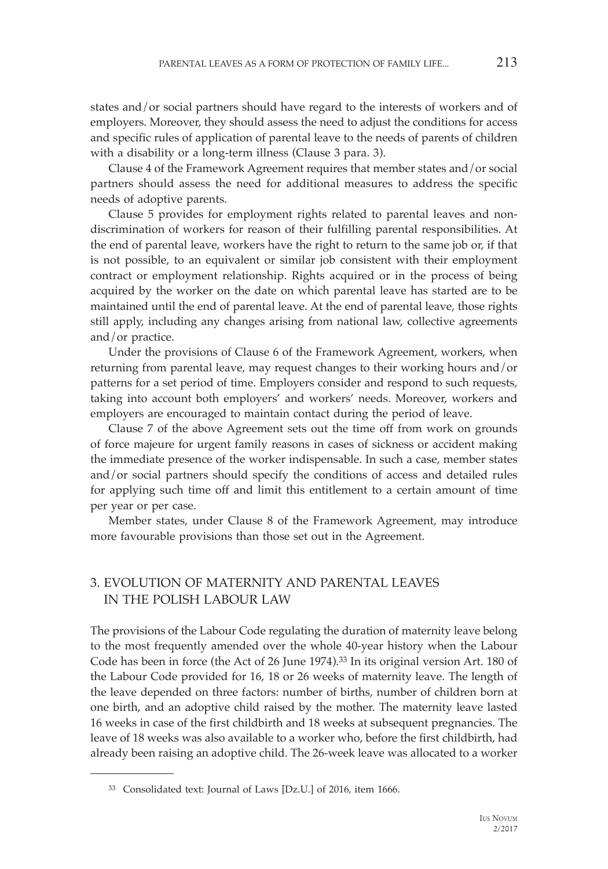states and/or social partners should have regard to the interests of workers and of employers. Moreover, they should assess the need to adjust the conditions for access and specific rules of application of parental leave to the needs of parents of children with a disability or a long-term illness (Clause 3 para. 3).

Clause 4 of the Framework Agreement requires that member states and/or social partners should assess the need for additional measures to address the specific needs of adoptive parents.

Clause 5 provides for employment rights related to parental leaves and nondiscrimination of workers for reason of their fulfilling parental responsibilities. At the end of parental leave, workers have the right to return to the same job or, if that is not possible, to an equivalent or similar job consistent with their employment contract or employment relationship. Rights acquired or in the process of being acquired by the worker on the date on which parental leave has started are to be maintained until the end of parental leave. At the end of parental leave, those rights still apply, including any changes arising from national law, collective agreements and/or practice.

Under the provisions of Clause 6 of the Framework Agreement, workers, when returning from parental leave, may request changes to their working hours and/or patterns for a set period of time. Employers consider and respond to such requests, taking into account both employers' and workers' needs. Moreover, workers and employers are encouraged to maintain contact during the period of leave.

Clause 7 of the above Agreement sets out the time off from work on grounds of force majeure for urgent family reasons in cases of sickness or accident making the immediate presence of the worker indispensable. In such a case, member states and/or social partners should specify the conditions of access and detailed rules for applying such time off and limit this entitlement to a certain amount of time per year or per case.

Member states, under Clause 8 of the Framework Agreement, may introduce more favourable provisions than those set out in the Agreement.

# 3. EVOLUTION OF MATERNITY AND PARENTAL LEAVES IN THE POLISH LABOUR LAW

The provisions of the Labour Code regulating the duration of maternity leave belong to the most frequently amended over the whole 40-year history when the Labour Code has been in force (the Act of 26 June 1974).33 In its original version Art. 180 of the Labour Code provided for 16, 18 or 26 weeks of maternity leave. The length of the leave depended on three factors: number of births, number of children born at one birth, and an adoptive child raised by the mother. The maternity leave lasted 16 weeks in case of the first childbirth and 18 weeks at subsequent pregnancies. The leave of 18 weeks was also available to a worker who, before the first childbirth, had already been raising an adoptive child. The 26-week leave was allocated to a worker

<sup>33</sup> Consolidated text: Journal of Laws [Dz.U.] of 2016, item 1666.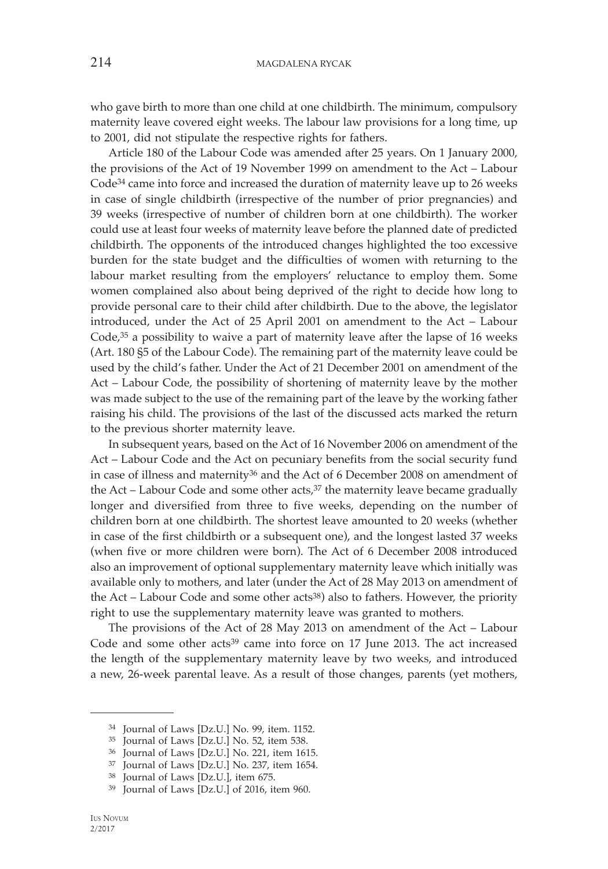who gave birth to more than one child at one childbirth. The minimum, compulsory maternity leave covered eight weeks. The labour law provisions for a long time, up to 2001, did not stipulate the respective rights for fathers.

Article 180 of the Labour Code was amended after 25 years. On 1 January 2000, the provisions of the Act of 19 November 1999 on amendment to the Act – Labour Code34 came into force and increased the duration of maternity leave up to 26 weeks in case of single childbirth (irrespective of the number of prior pregnancies) and 39 weeks (irrespective of number of children born at one childbirth). The worker could use at least four weeks of maternity leave before the planned date of predicted childbirth. The opponents of the introduced changes highlighted the too excessive burden for the state budget and the difficulties of women with returning to the labour market resulting from the employers' reluctance to employ them. Some women complained also about being deprived of the right to decide how long to provide personal care to their child after childbirth. Due to the above, the legislator introduced, under the Act of 25 April 2001 on amendment to the Act – Labour Code,<sup>35</sup> a possibility to waive a part of maternity leave after the lapse of 16 weeks (Art. 180 §5 of the Labour Code). The remaining part of the maternity leave could be used by the child's father. Under the Act of 21 December 2001 on amendment of the Act – Labour Code, the possibility of shortening of maternity leave by the mother was made subject to the use of the remaining part of the leave by the working father raising his child. The provisions of the last of the discussed acts marked the return to the previous shorter maternity leave.

In subsequent years, based on the Act of 16 November 2006 on amendment of the Act – Labour Code and the Act on pecuniary benefits from the social security fund in case of illness and maternity36 and the Act of 6 December 2008 on amendment of the Act – Labour Code and some other  $acts<sup>37</sup>$  the maternity leave became gradually longer and diversified from three to five weeks, depending on the number of children born at one childbirth. The shortest leave amounted to 20 weeks (whether in case of the first childbirth or a subsequent one), and the longest lasted 37 weeks (when five or more children were born). The Act of 6 December 2008 introduced also an improvement of optional supplementary maternity leave which initially was available only to mothers, and later (under the Act of 28 May 2013 on amendment of the Act – Labour Code and some other acts<sup>38</sup>) also to fathers. However, the priority right to use the supplementary maternity leave was granted to mothers.

The provisions of the Act of 28 May 2013 on amendment of the Act – Labour Code and some other acts39 came into force on 17 June 2013. The act increased the length of the supplementary maternity leave by two weeks, and introduced a new, 26-week parental leave. As a result of those changes, parents (yet mothers,

<sup>34</sup> Journal of Laws [Dz.U.] No. 99, item. 1152.

<sup>35</sup> Journal of Laws [Dz.U.] No. 52, item 538.

<sup>36</sup> Journal of Laws [Dz.U.] No. 221, item 1615.

<sup>37</sup> Journal of Laws [Dz.U.] No. 237, item 1654.

<sup>38</sup> Journal of Laws [Dz.U.], item 675.

<sup>39</sup> Journal of Laws [Dz.U.] of 2016, item 960.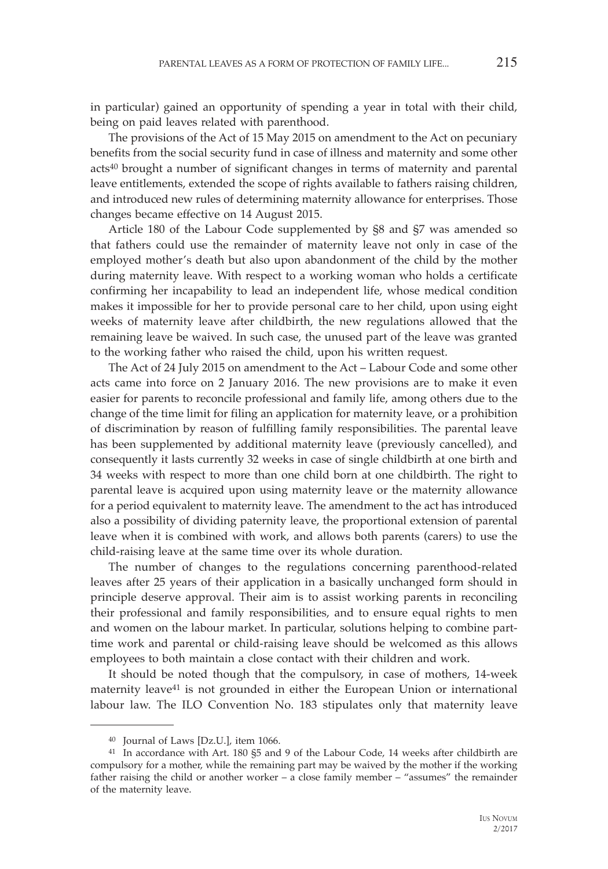in particular) gained an opportunity of spending a year in total with their child, being on paid leaves related with parenthood.

The provisions of the Act of 15 May 2015 on amendment to the Act on pecuniary benefits from the social security fund in case of illness and maternity and some other acts40 brought a number of significant changes in terms of maternity and parental leave entitlements, extended the scope of rights available to fathers raising children, and introduced new rules of determining maternity allowance for enterprises. Those changes became effective on 14 August 2015.

Article 180 of the Labour Code supplemented by §8 and §7 was amended so that fathers could use the remainder of maternity leave not only in case of the employed mother's death but also upon abandonment of the child by the mother during maternity leave. With respect to a working woman who holds a certificate confirming her incapability to lead an independent life, whose medical condition makes it impossible for her to provide personal care to her child, upon using eight weeks of maternity leave after childbirth, the new regulations allowed that the remaining leave be waived. In such case, the unused part of the leave was granted to the working father who raised the child, upon his written request.

The Act of 24 July 2015 on amendment to the Act – Labour Code and some other acts came into force on 2 January 2016. The new provisions are to make it even easier for parents to reconcile professional and family life, among others due to the change of the time limit for filing an application for maternity leave, or a prohibition of discrimination by reason of fulfilling family responsibilities. The parental leave has been supplemented by additional maternity leave (previously cancelled), and consequently it lasts currently 32 weeks in case of single childbirth at one birth and 34 weeks with respect to more than one child born at one childbirth. The right to parental leave is acquired upon using maternity leave or the maternity allowance for a period equivalent to maternity leave. The amendment to the act has introduced also a possibility of dividing paternity leave, the proportional extension of parental leave when it is combined with work, and allows both parents (carers) to use the child-raising leave at the same time over its whole duration.

The number of changes to the regulations concerning parenthood-related leaves after 25 years of their application in a basically unchanged form should in principle deserve approval. Their aim is to assist working parents in reconciling their professional and family responsibilities, and to ensure equal rights to men and women on the labour market. In particular, solutions helping to combine parttime work and parental or child-raising leave should be welcomed as this allows employees to both maintain a close contact with their children and work.

It should be noted though that the compulsory, in case of mothers, 14-week maternity leave<sup>41</sup> is not grounded in either the European Union or international labour law. The ILO Convention No. 183 stipulates only that maternity leave

<sup>40</sup> Journal of Laws [Dz.U.], item 1066.

<sup>41</sup> In accordance with Art. 180 §5 and 9 of the Labour Code, 14 weeks after childbirth are compulsory for a mother, while the remaining part may be waived by the mother if the working father raising the child or another worker – a close family member – "assumes" the remainder of the maternity leave.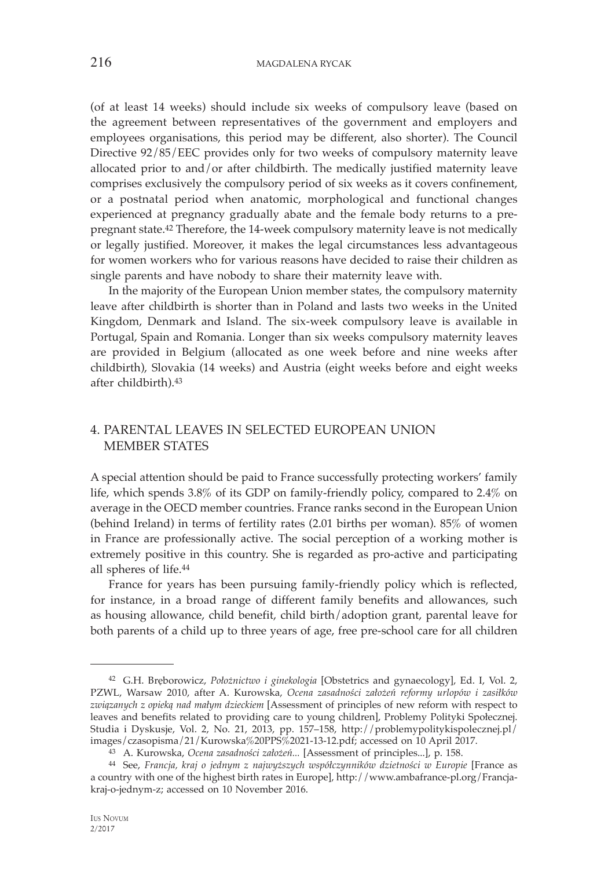(of at least 14 weeks) should include six weeks of compulsory leave (based on the agreement between representatives of the government and employers and employees organisations, this period may be different, also shorter). The Council Directive 92/85/EEC provides only for two weeks of compulsory maternity leave allocated prior to and/or after childbirth. The medically justified maternity leave comprises exclusively the compulsory period of six weeks as it covers confinement, or a postnatal period when anatomic, morphological and functional changes experienced at pregnancy gradually abate and the female body returns to a prepregnant state.42 Therefore, the 14-week compulsory maternity leave is not medically or legally justified. Moreover, it makes the legal circumstances less advantageous for women workers who for various reasons have decided to raise their children as single parents and have nobody to share their maternity leave with.

In the majority of the European Union member states, the compulsory maternity leave after childbirth is shorter than in Poland and lasts two weeks in the United Kingdom, Denmark and Island. The six-week compulsory leave is available in Portugal, Spain and Romania. Longer than six weeks compulsory maternity leaves are provided in Belgium (allocated as one week before and nine weeks after childbirth), Slovakia (14 weeks) and Austria (eight weeks before and eight weeks after childbirth).43

## 4. PARENTAL LEAVES IN SELECTED EUROPEAN UNION MEMBER STATES

A special attention should be paid to France successfully protecting workers' family life, which spends 3.8% of its GDP on family-friendly policy, compared to 2.4% on average in the OECD member countries. France ranks second in the European Union (behind Ireland) in terms of fertility rates (2.01 births per woman). 85% of women in France are professionally active. The social perception of a working mother is extremely positive in this country. She is regarded as pro-active and participating all spheres of life.44

France for years has been pursuing family-friendly policy which is reflected, for instance, in a broad range of different family benefits and allowances, such as housing allowance, child benefit, child birth/adoption grant, parental leave for both parents of a child up to three years of age, free pre-school care for all children

<sup>42</sup> G.H. Bręborowicz, *Położnictwo i ginekologia* [Obstetrics and gynaecology], Ed. I, Vol. 2, PZWL, Warsaw 2010, after A. Kurowska, *Ocena zasadności założeń reformy urlopów i zasiłków związanych z opieką nad małym dzieckiem* [Assessment of principles of new reform with respect to leaves and benefits related to providing care to young children], Problemy Polityki Społecznej. Studia i Dyskusje, Vol. 2, No. 21, 2013, pp. 157–158, http://problemypolitykispolecznej.pl/ images/czasopisma/21/Kurowska%20PPS%2021-13-12.pdf; accessed on 10 April 2017.

<sup>43</sup> A. Kurowska, *Ocena zasadności założeń...* [Assessment of principles...], p. 158.

<sup>44</sup> See, *Francja, kraj o jednym z najwyższych współczynników dzietności w Europie* [France as a country with one of the highest birth rates in Europe], http://www.ambafrance-pl.org/Francjakraj-o-jednym-z; accessed on 10 November 2016.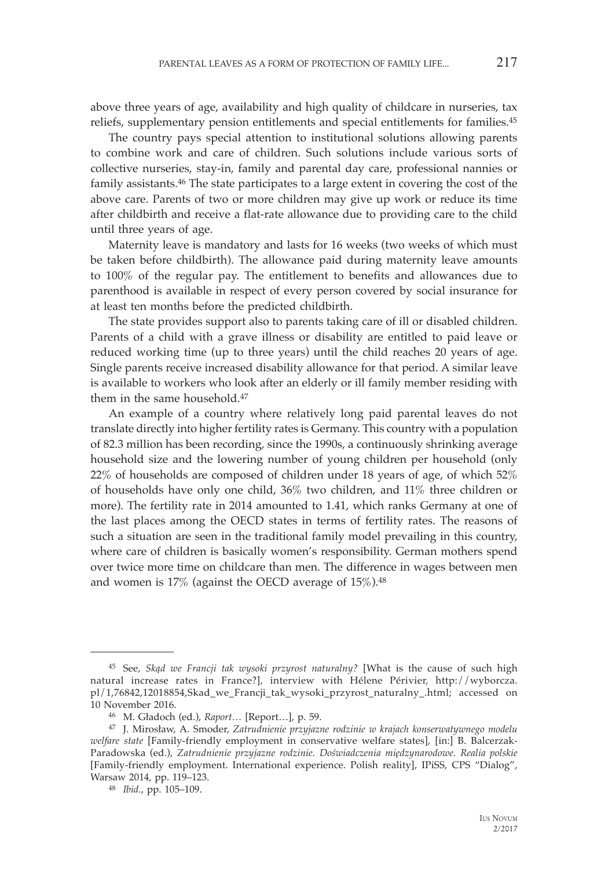above three years of age, availability and high quality of childcare in nurseries, tax reliefs, supplementary pension entitlements and special entitlements for families.45

The country pays special attention to institutional solutions allowing parents to combine work and care of children. Such solutions include various sorts of collective nurseries, stay-in, family and parental day care, professional nannies or family assistants.46 The state participates to a large extent in covering the cost of the above care. Parents of two or more children may give up work or reduce its time after childbirth and receive a flat-rate allowance due to providing care to the child until three years of age.

Maternity leave is mandatory and lasts for 16 weeks (two weeks of which must be taken before childbirth). The allowance paid during maternity leave amounts to 100% of the regular pay. The entitlement to benefits and allowances due to parenthood is available in respect of every person covered by social insurance for at least ten months before the predicted childbirth.

The state provides support also to parents taking care of ill or disabled children. Parents of a child with a grave illness or disability are entitled to paid leave or reduced working time (up to three years) until the child reaches 20 years of age. Single parents receive increased disability allowance for that period. A similar leave is available to workers who look after an elderly or ill family member residing with them in the same household  $47$ 

An example of a country where relatively long paid parental leaves do not translate directly into higher fertility rates is Germany. This country with a population of 82.3 million has been recording, since the 1990s, a continuously shrinking average household size and the lowering number of young children per household (only 22% of households are composed of children under 18 years of age, of which 52% of households have only one child, 36% two children, and 11% three children or more). The fertility rate in 2014 amounted to 1.41, which ranks Germany at one of the last places among the OECD states in terms of fertility rates. The reasons of such a situation are seen in the traditional family model prevailing in this country, where care of children is basically women's responsibility. German mothers spend over twice more time on childcare than men. The difference in wages between men and women is  $17\%$  (against the OECD average of  $15\%$ ).<sup>48</sup>

<sup>45</sup> See, *Skąd we Francji tak wysoki przyrost naturalny?* [What is the cause of such high natural increase rates in France?], interview with Hélene Périvier, http://wyborcza. pl/1,76842,12018854,Skad\_we\_Francji\_tak\_wysoki\_przyrost\_naturalny\_.html; accessed on 10 November 2016. 46 M. Gładoch (ed.), *Raport…* [Report…], p. 59. 47 J. Mirosław, A. Smoder, *Zatrudnienie przyjazne rodzinie w krajach konserwatywnego modelu* 

*welfare state* [Family-friendly employment in conservative welfare states], [in:] B. Balcerzak-Paradowska (ed.), *Zatrudnienie przyjazne rodzinie. Doświadczenia międzynarodowe. Realia polskie*  [Family-friendly employment. International experience. Polish reality], IPiSS, CPS "Dialog", Warsaw 2014, pp. 119–123. 48 *Ibid.*, pp. 105–109.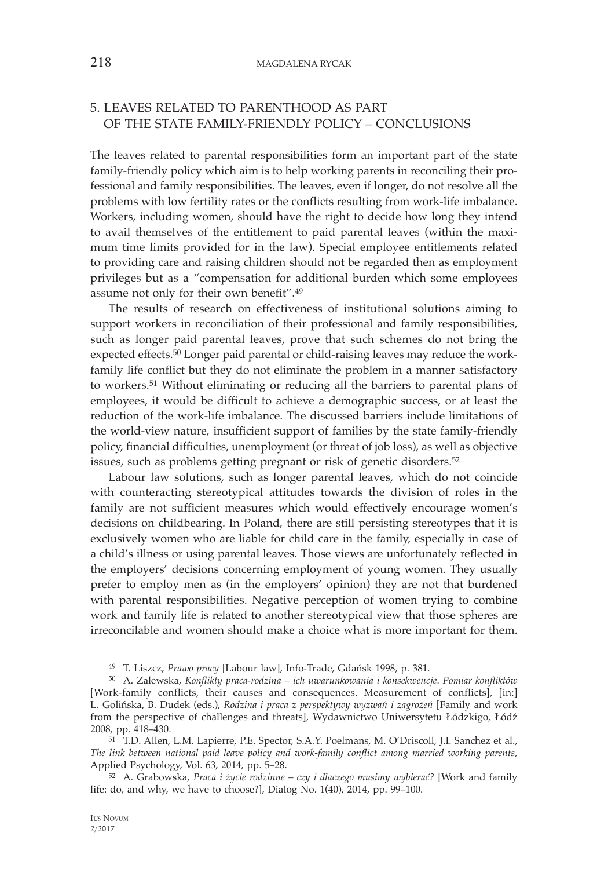# 5. LEAVES RELATED TO PARENTHOOD AS PART OF THE STATE FAMILY-FRIENDLY POLICY – CONCLUSIONS

The leaves related to parental responsibilities form an important part of the state family-friendly policy which aim is to help working parents in reconciling their professional and family responsibilities. The leaves, even if longer, do not resolve all the problems with low fertility rates or the conflicts resulting from work-life imbalance. Workers, including women, should have the right to decide how long they intend to avail themselves of the entitlement to paid parental leaves (within the maximum time limits provided for in the law). Special employee entitlements related to providing care and raising children should not be regarded then as employment privileges but as a "compensation for additional burden which some employees assume not only for their own benefit".49

The results of research on effectiveness of institutional solutions aiming to support workers in reconciliation of their professional and family responsibilities, such as longer paid parental leaves, prove that such schemes do not bring the expected effects.50 Longer paid parental or child-raising leaves may reduce the workfamily life conflict but they do not eliminate the problem in a manner satisfactory to workers.51 Without eliminating or reducing all the barriers to parental plans of employees, it would be difficult to achieve a demographic success, or at least the reduction of the work-life imbalance. The discussed barriers include limitations of the world-view nature, insufficient support of families by the state family-friendly policy, financial difficulties, unemployment (or threat of job loss), as well as objective issues, such as problems getting pregnant or risk of genetic disorders.<sup>52</sup>

Labour law solutions, such as longer parental leaves, which do not coincide with counteracting stereotypical attitudes towards the division of roles in the family are not sufficient measures which would effectively encourage women's decisions on childbearing. In Poland, there are still persisting stereotypes that it is exclusively women who are liable for child care in the family, especially in case of a child's illness or using parental leaves. Those views are unfortunately reflected in the employers' decisions concerning employment of young women. They usually prefer to employ men as (in the employers' opinion) they are not that burdened with parental responsibilities. Negative perception of women trying to combine work and family life is related to another stereotypical view that those spheres are irreconcilable and women should make a choice what is more important for them.

<sup>49</sup> T. Liszcz, *Prawo pracy* [Labour law], Info-Trade, Gdańsk 1998, p. 381. 50 A. Zalewska, *Konflikty praca-rodzina – ich uwarunkowania i konsekwencje*. *Pomiar konfliktów*  [Work-family conflicts, their causes and consequences. Measurement of conflicts], [in:] L. Golińska, B. Dudek (eds.), *Rodzina i praca z perspektywy wyzwań i zagrożeń* [Family and work from the perspective of challenges and threats], Wydawnictwo Uniwersytetu Łódzkigo, Łódź 2008, pp. 418–430. 51 T.D. Allen, L.M. Lapierre, P.E. Spector, S.A.Y. Poelmans, M. O'Driscoll, J.I. Sanchez et al.,

*The link between national paid leave policy and work-family conflict among married working parents*,

Applied Psychology, Vol. 63, 2014, pp. 5–28. 52 A. Grabowska, *Praca i życie rodzinne – czy i dlaczego musimy wybierać?* [Work and family life: do, and why, we have to choose?], Dialog No. 1(40), 2014, pp. 99–100.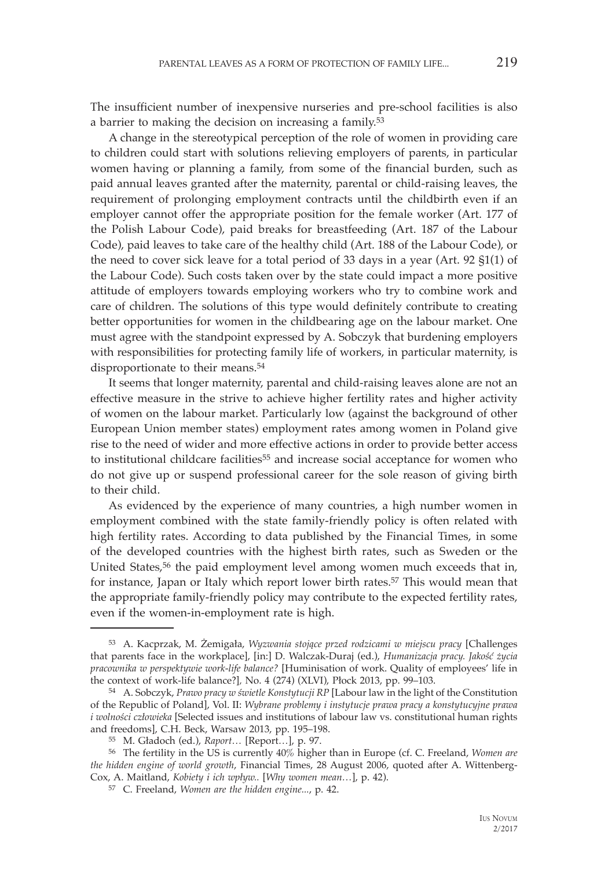The insufficient number of inexpensive nurseries and pre-school facilities is also a barrier to making the decision on increasing a family.53

A change in the stereotypical perception of the role of women in providing care to children could start with solutions relieving employers of parents, in particular women having or planning a family, from some of the financial burden, such as paid annual leaves granted after the maternity, parental or child-raising leaves, the requirement of prolonging employment contracts until the childbirth even if an employer cannot offer the appropriate position for the female worker (Art. 177 of the Polish Labour Code), paid breaks for breastfeeding (Art. 187 of the Labour Code), paid leaves to take care of the healthy child (Art. 188 of the Labour Code), or the need to cover sick leave for a total period of 33 days in a year (Art. 92 §1(1) of the Labour Code). Such costs taken over by the state could impact a more positive attitude of employers towards employing workers who try to combine work and care of children. The solutions of this type would definitely contribute to creating better opportunities for women in the childbearing age on the labour market. One must agree with the standpoint expressed by A. Sobczyk that burdening employers with responsibilities for protecting family life of workers, in particular maternity, is disproportionate to their means.54

It seems that longer maternity, parental and child-raising leaves alone are not an effective measure in the strive to achieve higher fertility rates and higher activity of women on the labour market. Particularly low (against the background of other European Union member states) employment rates among women in Poland give rise to the need of wider and more effective actions in order to provide better access to institutional childcare facilities<sup>55</sup> and increase social acceptance for women who do not give up or suspend professional career for the sole reason of giving birth to their child.

As evidenced by the experience of many countries, a high number women in employment combined with the state family-friendly policy is often related with high fertility rates. According to data published by the Financial Times, in some of the developed countries with the highest birth rates, such as Sweden or the United States,56 the paid employment level among women much exceeds that in, for instance, Japan or Italy which report lower birth rates.57 This would mean that the appropriate family-friendly policy may contribute to the expected fertility rates, even if the women-in-employment rate is high.

<sup>53</sup> A. Kacprzak, M. Żemigała, *Wyzwania stojące przed rodzicami w miejscu pracy* [Challenges that parents face in the workplace], [in:] D. Walczak-Duraj (ed.), *Humanizacja pracy. Jakość życia pracownika w perspektywie work-life balance?* [Huminisation of work. Quality of employees' life in

the context of work-life balance?]*,* No. 4 (274) (XLVI), Płock 2013, pp. 99–103. 54 A. Sobczyk, *Prawo pracy w świetle Konstytucji RP* [Labour law in the light of the Constitution of the Republic of Poland], Vol. II: *Wybrane problemy i instytucje prawa pracy a konstytucyjne prawa i wolności człowieka* [Selected issues and institutions of labour law vs. constitutional human rights and freedoms], C.H. Beck, Warsaw 2013, pp. 195-198.

<sup>&</sup>lt;sup>55</sup> M. Gładoch (ed.), *Raport...* [Report...], p. 97.<br><sup>56</sup> The fertility in the US is currently 40% higher than in Europe (cf. C. Freeland, *Women are the hidden engine of world growth*, Financial Times, 28 August 2006, quoted after A. Wittenberg-Cox, A. Maitland, *Kobiety i ich wpływ..* [*Why women mean…*], p. 42).

<sup>57</sup> C. Freeland, *Women are the hidden engine...*, p. 42.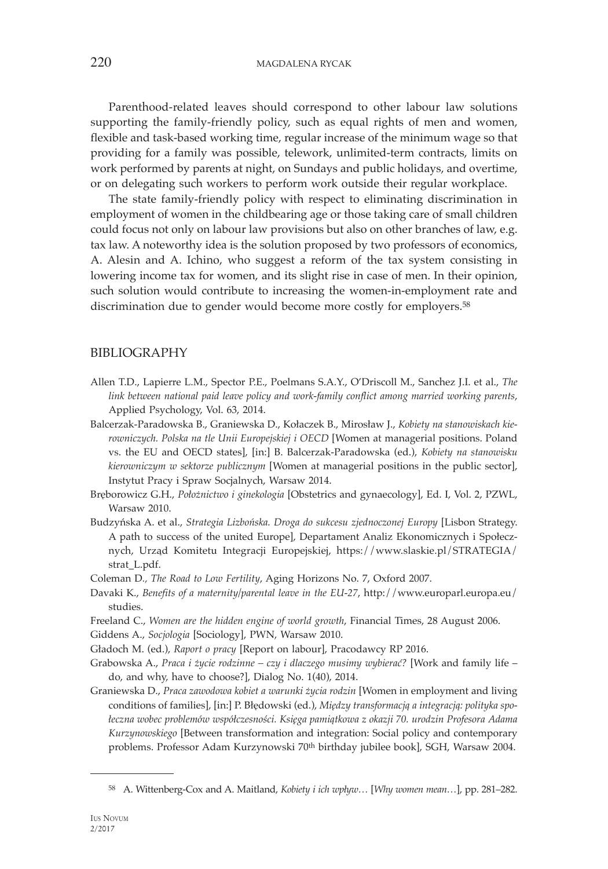220 MAGDALENA RYCAK

Parenthood-related leaves should correspond to other labour law solutions supporting the family-friendly policy, such as equal rights of men and women, flexible and task-based working time, regular increase of the minimum wage so that providing for a family was possible, telework, unlimited-term contracts, limits on work performed by parents at night, on Sundays and public holidays, and overtime, or on delegating such workers to perform work outside their regular workplace.

The state family-friendly policy with respect to eliminating discrimination in employment of women in the childbearing age or those taking care of small children could focus not only on labour law provisions but also on other branches of law, e.g. tax law. A noteworthy idea is the solution proposed by two professors of economics, A. Alesin and A. Ichino, who suggest a reform of the tax system consisting in lowering income tax for women, and its slight rise in case of men. In their opinion, such solution would contribute to increasing the women-in-employment rate and discrimination due to gender would become more costly for employers.<sup>58</sup>

## BIBLIOGRAPHY

- Allen T.D., Lapierre L.M., Spector P.E., Poelmans S.A.Y., O'Driscoll M., Sanchez J.I. et al., *The link between national paid leave policy and work-family conflict among married working parents*, Applied Psychology, Vol. 63, 2014.
- Balcerzak-Paradowska B., Graniewska D., Kołaczek B., Mirosław J., *Kobiety na stanowiskach kierowniczych. Polska na tle Unii Europejskiej i OECD* [Women at managerial positions. Poland vs. the EU and OECD states], [in:] B. Balcerzak-Paradowska (ed.), *Kobiety na stanowisku kierowniczym w sektorze publicznym* [Women at managerial positions in the public sector], Instytut Pracy i Spraw Socjalnych, Warsaw 2014.
- Bręborowicz G.H., *Położnictwo i ginekologia* [Obstetrics and gynaecology], Ed. I, Vol. 2, PZWL, Warsaw 2010.
- Budzyńska A. et al., *Strategia Lizbońska. Droga do sukcesu zjednoczonej Europy* [Lisbon Strategy. A path to success of the united Europe], Departament Analiz Ekonomicznych i Społecznych, Urząd Komitetu Integracji Europejskiej, https://www.slaskie.pl/STRATEGIA/ strat\_L.pdf.

Coleman D*., The Road to Low Fertility*, Aging Horizons No. 7, Oxford 2007.

- Davaki K., *Benefits of a maternity/parental leave in the EU-27*, http://www.europarl.europa.eu/ studies.
- Freeland C., *Women are the hidden engine of world growth*, Financial Times, 28 August 2006.

Giddens A., *Socjologia* [Sociology], PWN, Warsaw 2010.

- Gładoch M. (ed.), *Raport o pracy* [Report on labour], Pracodawcy RP 2016.
- Grabowska A., *Praca i życie rodzinne czy i dlaczego musimy wybierać?* [Work and family life do, and why, have to choose?], Dialog No. 1(40), 2014.
- Graniewska D., *Praca zawodowa kobiet a warunki życia rodzin* [Women in employment and living conditions of families], [in:] P. Błędowski (ed.), *Między transformacją a integracją: polityka społeczna wobec problemów współczesności. Księga pamiątkowa z okazji 70. urodzin Profesora Adama Kurzynowskiego* [Between transformation and integration: Social policy and contemporary problems. Professor Adam Kurzynowski 70<sup>th</sup> birthday jubilee book], SGH, Warsaw 2004.

<sup>58</sup> A. Wittenberg-Cox and A. Maitland, *Kobiety i ich wpływ…* [*Why women mean…*], pp. 281–282.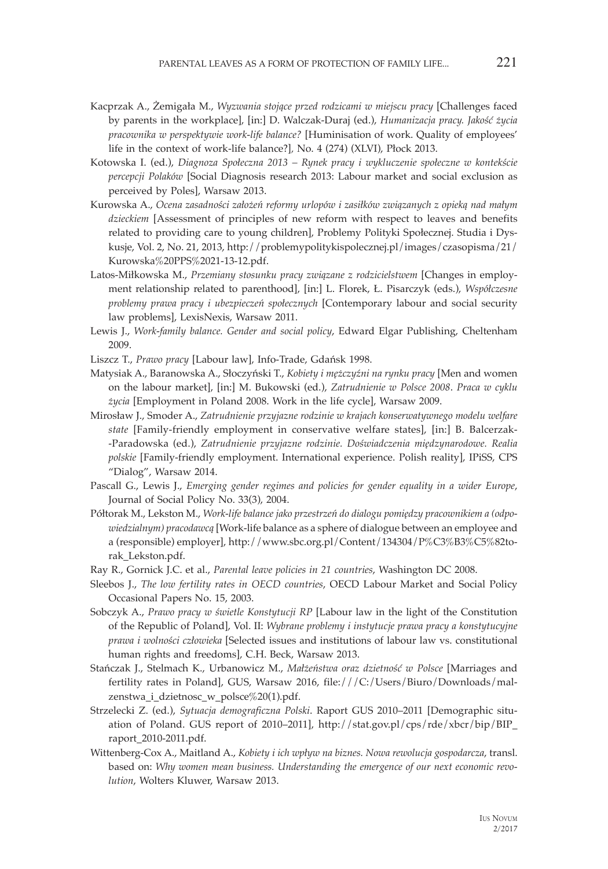- Kacprzak A., Żemigała M., *Wyzwania stojące przed rodzicami w miejscu pracy* [Challenges faced by parents in the workplace], [in:] D. Walczak-Duraj (ed.), *Humanizacja pracy. Jakość życia pracownika w perspektywie work-life balance?* [Huminisation of work. Quality of employees' life in the context of work-life balance?]*,* No. 4 (274) (XLVI), Płock 2013.
- Kotowska I. (ed.), *Diagnoza Społeczna 2013 Rynek pracy i wykluczenie społeczne w kontekście percepcji Polaków* [Social Diagnosis research 2013: Labour market and social exclusion as perceived by Poles], Warsaw 2013.
- Kurowska A., *Ocena zasadności założeń reformy urlopów i zasiłków związanych z opieką nad małym dzieckiem* [Assessment of principles of new reform with respect to leaves and benefits related to providing care to young children], Problemy Polityki Społecznej. Studia i Dyskusje, Vol. 2, No. 21, 2013, http://problemypolitykispolecznej.pl/images/czasopisma/21/ Kurowska%20PPS%2021-13-12.pdf.
- Latos-Miłkowska M., *Przemiany stosunku pracy związane z rodzicielstwem* [Changes in employment relationship related to parenthood], [in:] L. Florek, Ł. Pisarczyk (eds.), *Współczesne problemy prawa pracy i ubezpieczeń społecznych* [Contemporary labour and social security law problems], LexisNexis, Warsaw 2011.
- Lewis J., *Work-family balance. Gender and social policy*, Edward Elgar Publishing, Cheltenham 2009.
- Liszcz T., *Prawo pracy* [Labour law], Info-Trade, Gdańsk 1998.
- Matysiak A., Baranowska A., Słoczyński T., *Kobiety i mężczyźni na rynku pracy* [Men and women on the labour market], [in:] M. Bukowski (ed.), *Zatrudnienie w Polsce 2008*. *Praca w cyklu życia* [Employment in Poland 2008. Work in the life cycle], Warsaw 2009.
- Mirosław J., Smoder A., *Zatrudnienie przyjazne rodzinie w krajach konserwatywnego modelu welfare state* [Family-friendly employment in conservative welfare states], [in:] B. Balcerzak- -Paradowska (ed.), *Zatrudnienie przyjazne rodzinie. Doświadczenia międzynarodowe. Realia polskie* [Family-friendly employment. International experience. Polish reality], IPiSS, CPS "Dialog", Warsaw 2014.
- Pascall G., Lewis J., *Emerging gender regimes and policies for gender equality in a wider Europe*, Journal of Social Policy No. 33(3), 2004.
- Półtorak M., Lekston M., *Work-life balance jako przestrzeń do dialogu pomiędzy pracownikiem a (odpowiedzialnym) pracodawcą* [Work-life balance as a sphere of dialogue between an employee and a (responsible) employer], http://www.sbc.org.pl/Content/134304/P%C3%B3%C5%82torak\_Lekston.pdf.
- Ray R., Gornick J.C. et al., *Parental leave policies in 21 countries*, Washington DC 2008.
- Sleebos J., *The low fertility rates in OECD countries*, OECD Labour Market and Social Policy Occasional Papers No. 15, 2003.
- Sobczyk A., *Prawo pracy w świetle Konstytucji RP* [Labour law in the light of the Constitution of the Republic of Poland], Vol. II: *Wybrane problemy i instytucje prawa pracy a konstytucyjne prawa i wolności człowieka* [Selected issues and institutions of labour law vs. constitutional human rights and freedoms], C.H. Beck, Warsaw 2013.
- Stańczak J., Stelmach K., Urbanowicz M., *Małżeństwa oraz dzietność w Polsce* [Marriages and fertility rates in Poland], GUS, Warsaw 2016, file:///C:/Users/Biuro/Downloads/malzenstwa\_i\_dzietnosc\_w\_polsce%20(1).pdf.
- Strzelecki Z. (ed.), *Sytuacja demograficzna Polski*. Raport GUS 2010–2011 [Demographic situation of Poland. GUS report of 2010–2011], http://stat.gov.pl/cps/rde/xbcr/bip/BIP\_ raport\_2010-2011.pdf.
- Wittenberg-Cox A., Maitland A., *Kobiety i ich wpływ na biznes. Nowa rewolucja gospodarcza*, transl. based on: *Why women mean business. Understanding the emergence of our next economic revolution*, Wolters Kluwer, Warsaw 2013.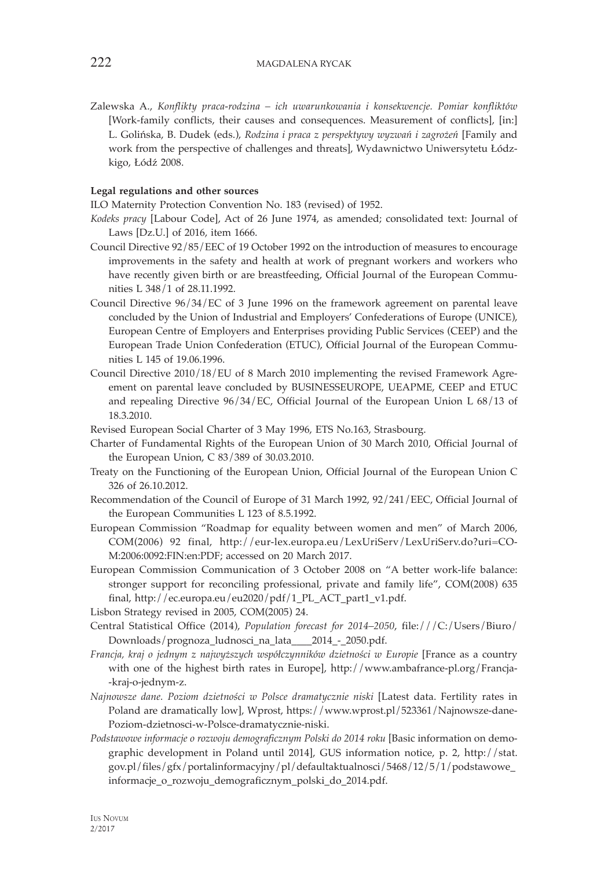Zalewska A., *Konflikty praca-rodzina – ich uwarunkowania i konsekwencje. Pomiar konfliktów* [Work-family conflicts, their causes and consequences. Measurement of conflicts], [in:] L. Golińska, B. Dudek (eds.), *Rodzina i praca z perspektywy wyzwań i zagrożeń* [Family and work from the perspective of challenges and threats], Wydawnictwo Uniwersytetu Łódzkigo, Łódź 2008.

#### **Legal regulations and other sources**

ILO Maternity Protection Convention No. 183 (revised) of 1952.

- *Kodeks pracy* [Labour Code], Act of 26 June 1974, as amended; consolidated text: Journal of Laws [Dz.U.] of 2016, item 1666.
- Council Directive 92/85/EEC of 19 October 1992 on the introduction of measures to encourage improvements in the safety and health at work of pregnant workers and workers who have recently given birth or are breastfeeding, Official Journal of the European Communities L 348/1 of 28.11.1992.
- Council Directive 96/34/EC of 3 June 1996 on the framework agreement on parental leave concluded by the Union of Industrial and Employers' Confederations of Europe (UNICE), European Centre of Employers and Enterprises providing Public Services (CEEP) and the European Trade Union Confederation (ETUC), Official Journal of the European Communities L 145 of 19.06.1996.
- Council Directive 2010/18/EU of 8 March 2010 implementing the revised Framework Agreement on parental leave concluded by BUSINESSEUROPE, UEAPME, CEEP and ETUC and repealing Directive 96/34/EC, Official Journal of the European Union L 68/13 of 18.3.2010.
- Revised European Social Charter of 3 May 1996, ETS No.163, Strasbourg.
- Charter of Fundamental Rights of the European Union of 30 March 2010, Official Journal of the European Union, C 83/389 of 30.03.2010.
- Treaty on the Functioning of the European Union, Official Journal of the European Union C 326 of 26.10.2012.
- Recommendation of the Council of Europe of 31 March 1992, 92/241/EEC, Official Journal of the European Communities L 123 of 8.5.1992.
- European Commission "Roadmap for equality between women and men" of March 2006, COM(2006) 92 final, http://eur-lex.europa.eu/LexUriServ/LexUriServ.do?uri=CO-M:2006:0092:FIN:en:PDF; accessed on 20 March 2017.
- European Commission Communication of 3 October 2008 on "A better work-life balance: stronger support for reconciling professional, private and family life", COM(2008) 635 final, http://ec.europa.eu/eu2020/pdf/1\_PL\_ACT\_part1\_v1.pdf.

Lisbon Strategy revised in 2005, COM(2005) 24.

- Central Statistical Office (2014), *Population forecast for 2014–2050*, file:///C:/Users/Biuro/ Downloads/prognoza\_ludnosci\_na\_lata\_\_\_\_2014\_-\_2050.pdf.
- *Francja, kraj o jednym z najwyższych współczynników dzietności w Europie* [France as a country with one of the highest birth rates in Europe], http://www.ambafrance-pl.org/Francja- -kraj-o-jednym-z.
- *Najnowsze dane. Poziom dzietności w Polsce dramatycznie niski* [Latest data. Fertility rates in Poland are dramatically low], Wprost, https://www.wprost.pl/523361/Najnowsze-dane-Poziom-dzietnosci-w-Polsce-dramatycznie-niski.
- *Podstawowe informacje o rozwoju demograficznym Polski do 2014 roku* [Basic information on demographic development in Poland until 2014], GUS information notice, p. 2, http://stat. gov.pl/files/gfx/portalinformacyjny/pl/defaultaktualnosci/5468/12/5/1/podstawowe\_ informacje\_o\_rozwoju\_demograficznym\_polski\_do\_2014.pdf.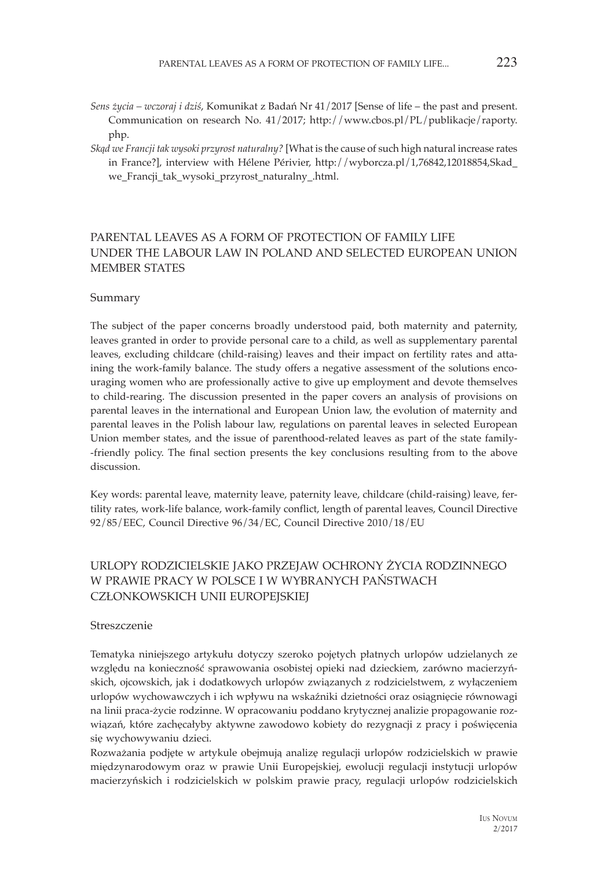- *Sens życia wczoraj i dziś*, Komunikat z Badań Nr 41/2017 [Sense of life the past and present. Communication on research No. 41/2017; http://www.cbos.pl/PL/publikacje/raporty. php.
- *Skąd we Francji tak wysoki przyrost naturalny?* [What is the cause of such high natural increase rates in France?], interview with Hélene Périvier, http://wyborcza.pl/1,76842,12018854,Skad\_ we Francji tak wysoki przyrost naturalny .html.

## PARENTAL LEAVES AS A FORM OF PROTECTION OF FAMILY LIFE UNDER THE LABOUR LAW IN POLAND AND SELECTED EUROPEAN UNION MEMBER STATES

### Summary

The subject of the paper concerns broadly understood paid, both maternity and paternity, leaves granted in order to provide personal care to a child, as well as supplementary parental leaves, excluding childcare (child-raising) leaves and their impact on fertility rates and attaining the work-family balance. The study offers a negative assessment of the solutions encouraging women who are professionally active to give up employment and devote themselves to child-rearing. The discussion presented in the paper covers an analysis of provisions on parental leaves in the international and European Union law, the evolution of maternity and parental leaves in the Polish labour law, regulations on parental leaves in selected European Union member states, and the issue of parenthood-related leaves as part of the state family- -friendly policy. The final section presents the key conclusions resulting from to the above discussion.

Key words: parental leave, maternity leave, paternity leave, childcare (child-raising) leave, fertility rates, work-life balance, work-family conflict, length of parental leaves, Council Directive 92/85/EEC, Council Directive 96/34/EC, Council Directive 2010/18/EU

## URLOPY RODZICIELSKIE JAKO PRZEJAW OCHRONY ŻYCIA RODZINNEGO W PRAWIE PRACY W POLSCE I W WYBRANYCH PAŃSTWACH CZŁONKOWSKICH UNII EUROPEJSKIEJ

#### Streszczenie

Tematyka niniejszego artykułu dotyczy szeroko pojętych płatnych urlopów udzielanych ze względu na konieczność sprawowania osobistej opieki nad dzieckiem, zarówno macierzyńskich, ojcowskich, jak i dodatkowych urlopów związanych z rodzicielstwem, z wyłączeniem urlopów wychowawczych i ich wpływu na wskaźniki dzietności oraz osiągnięcie równowagi na linii praca-życie rodzinne. W opracowaniu poddano krytycznej analizie propagowanie rozwiązań, które zachęcałyby aktywne zawodowo kobiety do rezygnacji z pracy i poświęcenia się wychowywaniu dzieci.

Rozważania podjęte w artykule obejmują analizę regulacji urlopów rodzicielskich w prawie międzynarodowym oraz w prawie Unii Europejskiej, ewolucji regulacji instytucji urlopów macierzyńskich i rodzicielskich w polskim prawie pracy, regulacji urlopów rodzicielskich